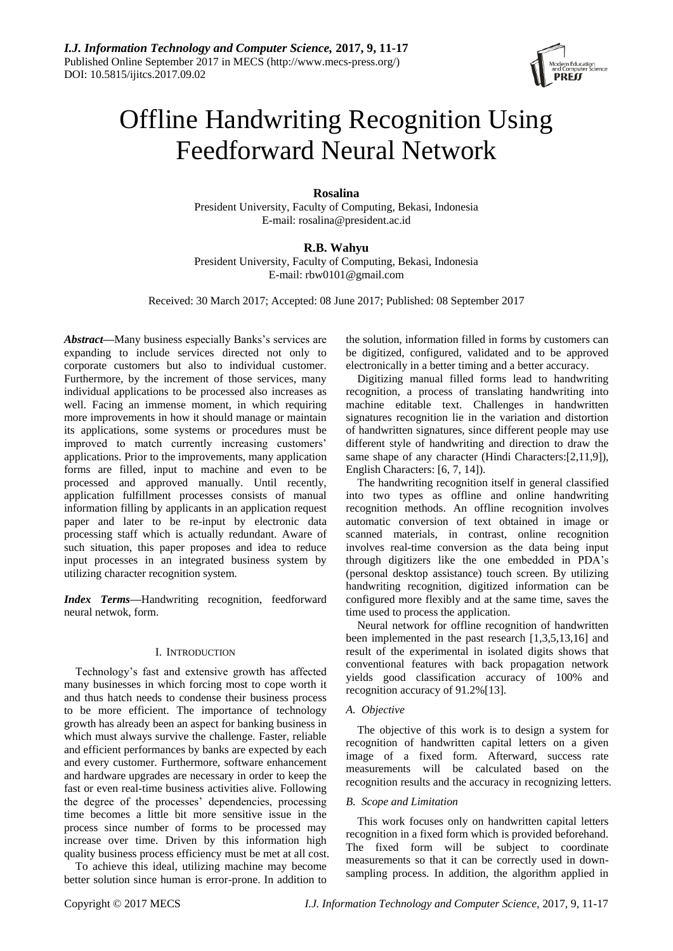

# Offline Handwriting Recognition Using Feedforward Neural Network

# **Rosalina**

President University, Faculty of Computing, Bekasi, Indonesia E-mail: rosalina@president.ac.id

# **R.B. Wahyu**

President University, Faculty of Computing, Bekasi, Indonesia E-mail: rbw0101@gmail.com

Received: 30 March 2017; Accepted: 08 June 2017; Published: 08 September 2017

*Abstract***—**Many business especially Banks"s services are expanding to include services directed not only to corporate customers but also to individual customer. Furthermore, by the increment of those services, many individual applications to be processed also increases as well. Facing an immense moment, in which requiring more improvements in how it should manage or maintain its applications, some systems or procedures must be improved to match currently increasing customers' applications. Prior to the improvements, many application forms are filled, input to machine and even to be processed and approved manually. Until recently, application fulfillment processes consists of manual information filling by applicants in an application request paper and later to be re-input by electronic data processing staff which is actually redundant. Aware of such situation, this paper proposes and idea to reduce input processes in an integrated business system by utilizing character recognition system.

*Index Terms***—**Handwriting recognition, feedforward neural netwok, form.

## I. INTRODUCTION

Technology"s fast and extensive growth has affected many businesses in which forcing most to cope worth it and thus hatch needs to condense their business process to be more efficient. The importance of technology growth has already been an aspect for banking business in which must always survive the challenge. Faster, reliable and efficient performances by banks are expected by each and every customer. Furthermore, software enhancement and hardware upgrades are necessary in order to keep the fast or even real-time business activities alive. Following the degree of the processes" dependencies, processing time becomes a little bit more sensitive issue in the process since number of forms to be processed may increase over time. Driven by this information high quality business process efficiency must be met at all cost.

To achieve this ideal, utilizing machine may become better solution since human is error-prone. In addition to

the solution, information filled in forms by customers can be digitized, configured, validated and to be approved electronically in a better timing and a better accuracy.

Digitizing manual filled forms lead to handwriting recognition, a process of translating handwriting into machine editable text. Challenges in handwritten signatures recognition lie in the variation and distortion of handwritten signatures, since different people may use different style of handwriting and direction to draw the same shape of any character (Hindi Characters: [2,11,9]), English Characters: [6, 7, 14]).

The handwriting recognition itself in general classified into two types as offline and online handwriting recognition methods. An offline recognition involves automatic conversion of text obtained in image or scanned materials, in contrast, online recognition involves real-time conversion as the data being input through digitizers like the one embedded in PDA"s (personal desktop assistance) touch screen. By utilizing handwriting recognition, digitized information can be configured more flexibly and at the same time, saves the time used to process the application.

Neural network for offline recognition of handwritten been implemented in the past research [1,3,5,13,16] and result of the experimental in isolated digits shows that conventional features with back propagation network yields good classification accuracy of 100% and recognition accuracy of 91.2%[13].

## *A. Objective*

The objective of this work is to design a system for recognition of handwritten capital letters on a given image of a fixed form. Afterward, success rate measurements will be calculated based on the recognition results and the accuracy in recognizing letters.

## *B. Scope and Limitation*

This work focuses only on handwritten capital letters recognition in a fixed form which is provided beforehand. The fixed form will be subject to coordinate measurements so that it can be correctly used in downsampling process. In addition, the algorithm applied in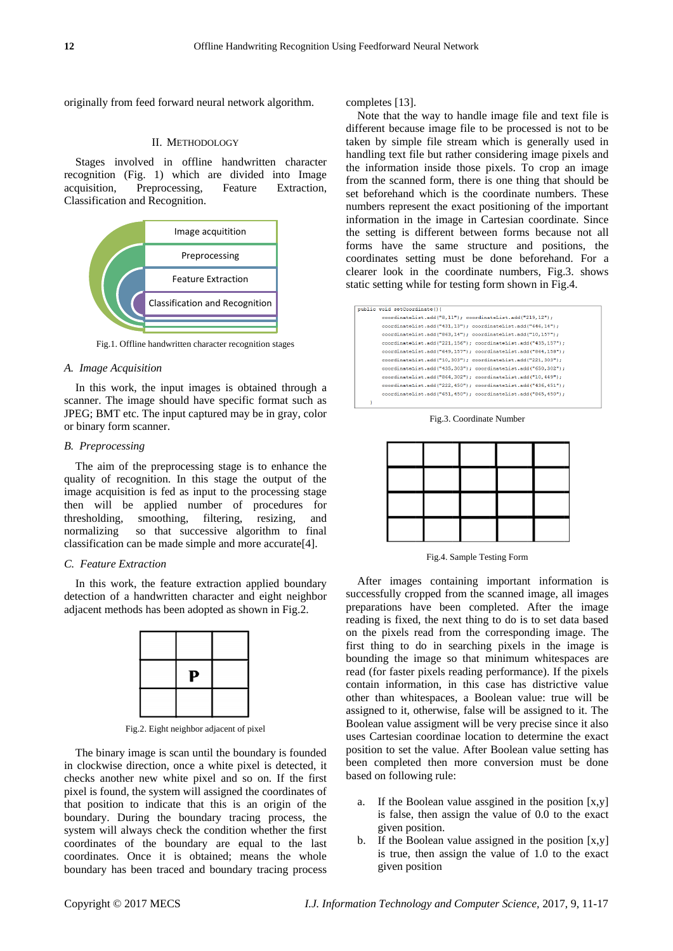originally from feed forward neural network algorithm.

#### II. METHODOLOGY

Stages involved in offline handwritten character recognition (Fig. 1) which are divided into Image acquisition, Preprocessing, Feature Extraction, Classification and Recognition.



Fig.1. Offline handwritten character recognition stages

## *A. Image Acquisition*

In this work, the input images is obtained through a scanner. The image should have specific format such as JPEG; BMT etc. The input captured may be in gray, color or binary form scanner.

#### *B. Preprocessing*

The aim of the preprocessing stage is to enhance the quality of recognition. In this stage the output of the image acquisition is fed as input to the processing stage then will be applied number of procedures for thresholding, smoothing, filtering, resizing, and normalizing so that successive algorithm to final classification can be made simple and more accurate[4].

## *C. Feature Extraction*

In this work, the feature extraction applied boundary detection of a handwritten character and eight neighbor adjacent methods has been adopted as shown in Fig.2.



Fig.2. Eight neighbor adjacent of pixel

The binary image is scan until the boundary is founded in clockwise direction, once a white pixel is detected, it checks another new white pixel and so on. If the first pixel is found, the system will assigned the coordinates of that position to indicate that this is an origin of the boundary. During the boundary tracing process, the system will always check the condition whether the first coordinates of the boundary are equal to the last coordinates. Once it is obtained; means the whole boundary has been traced and boundary tracing process

completes [13].

Note that the way to handle image file and text file is different because image file to be processed is not to be taken by simple file stream which is generally used in handling text file but rather considering image pixels and the information inside those pixels. To crop an image from the scanned form, there is one thing that should be set beforehand which is the coordinate numbers. These numbers represent the exact positioning of the important information in the image in Cartesian coordinate. Since the setting is different between forms because not all forms have the same structure and positions, the coordinates setting must be done beforehand. For a clearer look in the coordinate numbers, Fig.3. shows static setting while for testing form shown in Fig.4.



Fig.3. Coordinate Number

Fig.4. Sample Testing Form

After images containing important information is successfully cropped from the scanned image, all images preparations have been completed. After the image reading is fixed, the next thing to do is to set data based on the pixels read from the corresponding image. The first thing to do in searching pixels in the image is bounding the image so that minimum whitespaces are read (for faster pixels reading performance). If the pixels contain information, in this case has districtive value other than whitespaces, a Boolean value: true will be assigned to it, otherwise, false will be assigned to it. The Boolean value assigment will be very precise since it also uses Cartesian coordinae location to determine the exact position to set the value. After Boolean value setting has been completed then more conversion must be done based on following rule:

- a. If the Boolean value assgined in the position [x,y] is false, then assign the value of 0.0 to the exact given position.
- b. If the Boolean value assigned in the position  $[x, y]$ is true, then assign the value of 1.0 to the exact given position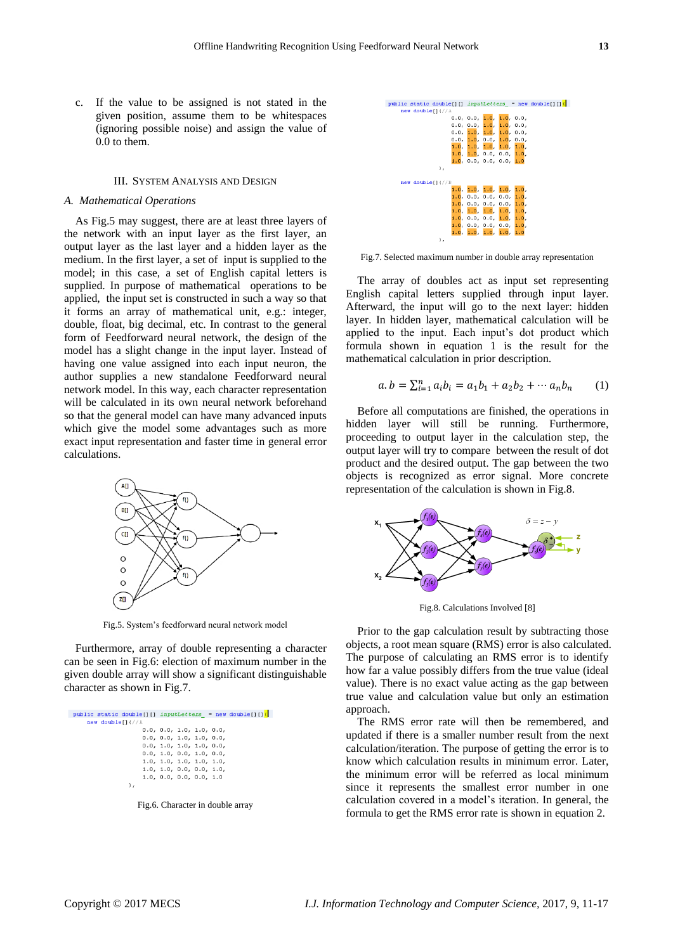c. If the value to be assigned is not stated in the given position, assume them to be whitespaces (ignoring possible noise) and assign the value of 0.0 to them.

## III. SYSTEM ANALYSIS AND DESIGN

#### *A. Mathematical Operations*

As Fig.5 may suggest, there are at least three layers of the network with an input layer as the first layer, an output layer as the last layer and a hidden layer as the medium. In the first layer, a set of input is supplied to the model; in this case, a set of English capital letters is supplied. In purpose of mathematical operations to be applied, the input set is constructed in such a way so that it forms an array of mathematical unit, e.g.: integer, double, float, big decimal, etc. In contrast to the general form of Feedforward neural network, the design of the model has a slight change in the input layer. Instead of having one value assigned into each input neuron, the author supplies a new standalone Feedforward neural network model. In this way, each character representation will be calculated in its own neural network beforehand so that the general model can have many advanced inputs which give the model some advantages such as more exact input representation and faster time in general error calculations.



Fig.5. System"s feedforward neural network model

Furthermore, array of double representing a character can be seen in Fig.6: election of maximum number in the given double array will show a significant distinguishable character as shown in Fig.7.

| public static double[][] inputLetters = new double[][][ |  |
|---------------------------------------------------------|--|
| new doublefl(//A                                        |  |
| 0.0, 0.0, 1.0, 1.0, 0.0,                                |  |
| 0.0, 0.0, 1.0, 1.0, 0.0,                                |  |
| 0.0, 1.0, 1.0, 1.0, 0.0,                                |  |
| 0.0, 1.0, 0.0, 1.0, 0.0,                                |  |
| 1.0, 1.0, 1.0, 1.0, 1.0.                                |  |
| 1.0, 1.0, 0.0, 0.0, 1.0,                                |  |
| 1.0, 0.0, 0.0, 0.0, 1.0                                 |  |
| ١.                                                      |  |

Fig.6. Character in double array



Fig.7. Selected maximum number in double array representation

The array of doubles act as input set representing English capital letters supplied through input layer. Afterward, the input will go to the next layer: hidden layer. In hidden layer, mathematical calculation will be applied to the input. Each input's dot product which formula shown in equation 1 is the result for the mathematical calculation in prior description.

$$
a.b = \sum_{i=1}^{n} a_i b_i = a_1 b_1 + a_2 b_2 + \cdots + a_n b_n \qquad (1)
$$

Before all computations are finished, the operations in hidden layer will still be running. Furthermore, proceeding to output layer in the calculation step, the output layer will try to compare between the result of dot product and the desired output. The gap between the two objects is recognized as error signal. More concrete representation of the calculation is shown in Fig.8.



Fig.8. Calculations Involved [8]

Prior to the gap calculation result by subtracting those objects, a root mean square (RMS) error is also calculated. The purpose of calculating an RMS error is to identify how far a value possibly differs from the true value (ideal value). There is no exact value acting as the gap between true value and calculation value but only an estimation approach.

The RMS error rate will then be remembered, and updated if there is a smaller number result from the next calculation/iteration. The purpose of getting the error is to know which calculation results in minimum error. Later, the minimum error will be referred as local minimum since it represents the smallest error number in one calculation covered in a model"s iteration. In general, the formula to get the RMS error rate is shown in equation 2.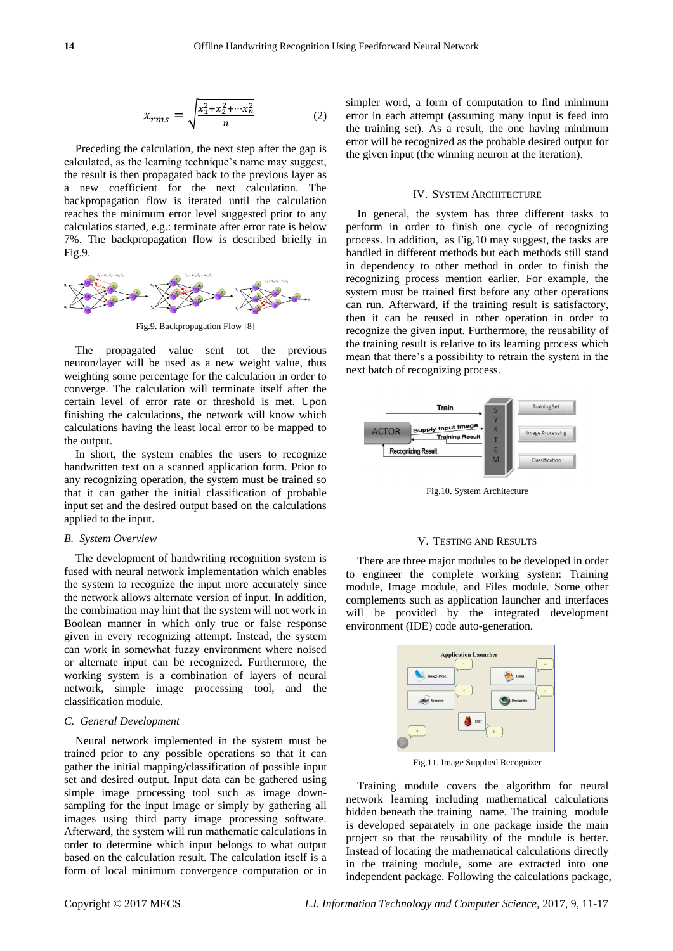$$
x_{rms} = \sqrt{\frac{x_1^2 + x_2^2 + \dots + x_n^2}{n}} \tag{2}
$$

Preceding the calculation, the next step after the gap is calculated, as the learning technique"s name may suggest, the result is then propagated back to the previous layer as a new coefficient for the next calculation. The backpropagation flow is iterated until the calculation reaches the minimum error level suggested prior to any calculatios started, e.g.: terminate after error rate is below 7%. The backpropagation flow is described briefly in Fig.9.



Fig.9. Backpropagation Flow [8]

The propagated value sent tot the previous neuron/layer will be used as a new weight value, thus weighting some percentage for the calculation in order to converge. The calculation will terminate itself after the certain level of error rate or threshold is met. Upon finishing the calculations, the network will know which calculations having the least local error to be mapped to the output.

In short, the system enables the users to recognize handwritten text on a scanned application form. Prior to any recognizing operation, the system must be trained so that it can gather the initial classification of probable input set and the desired output based on the calculations applied to the input.

## *B. System Overview*

The development of handwriting recognition system is fused with neural network implementation which enables the system to recognize the input more accurately since the network allows alternate version of input. In addition, the combination may hint that the system will not work in Boolean manner in which only true or false response given in every recognizing attempt. Instead, the system can work in somewhat fuzzy environment where noised or alternate input can be recognized. Furthermore, the working system is a combination of layers of neural network, simple image processing tool, and the classification module.

#### *C. General Development*

Neural network implemented in the system must be trained prior to any possible operations so that it can gather the initial mapping/classification of possible input set and desired output. Input data can be gathered using simple image processing tool such as image downsampling for the input image or simply by gathering all images using third party image processing software. Afterward, the system will run mathematic calculations in order to determine which input belongs to what output based on the calculation result. The calculation itself is a form of local minimum convergence computation or in

simpler word, a form of computation to find minimum error in each attempt (assuming many input is feed into the training set). As a result, the one having minimum error will be recognized as the probable desired output for the given input (the winning neuron at the iteration).

## IV. SYSTEM ARCHITECTURE

In general, the system has three different tasks to perform in order to finish one cycle of recognizing process. In addition, as Fig.10 may suggest, the tasks are handled in different methods but each methods still stand in dependency to other method in order to finish the recognizing process mention earlier. For example, the system must be trained first before any other operations can run. Afterward, if the training result is satisfactory, then it can be reused in other operation in order to recognize the given input. Furthermore, the reusability of the training result is relative to its learning process which mean that there"s a possibility to retrain the system in the next batch of recognizing process.



Fig.10. System Architecture

#### V. TESTING AND RESULTS

There are three major modules to be developed in order to engineer the complete working system: Training module, Image module, and Files module. Some other complements such as application launcher and interfaces will be provided by the integrated development environment (IDE) code auto-generation.



Fig.11. Image Supplied Recognizer

Training module covers the algorithm for neural network learning including mathematical calculations hidden beneath the training name. The training module is developed separately in one package inside the main project so that the reusability of the module is better. Instead of locating the mathematical calculations directly in the training module, some are extracted into one independent package. Following the calculations package,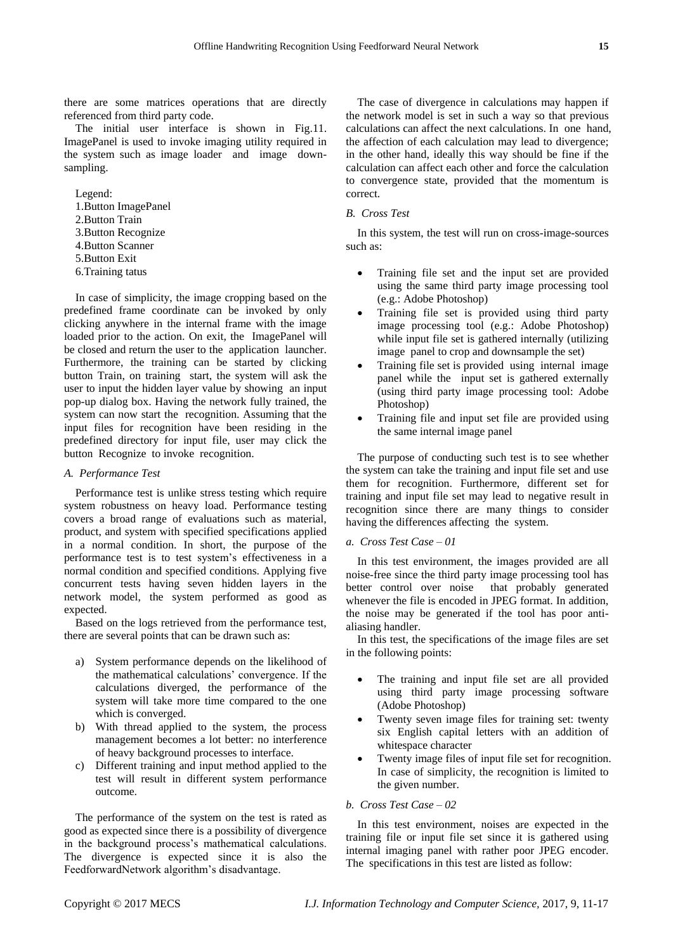there are some matrices operations that are directly referenced from third party code.

The initial user interface is shown in Fig.11. ImagePanel is used to invoke imaging utility required in the system such as image loader and image downsampling.

Legend:

- 1.Button ImagePanel
- 2.Button Train
- 3.Button Recognize
- 4.Button Scanner
- 5.Button Exit
- 6.Training tatus

In case of simplicity, the image cropping based on the predefined frame coordinate can be invoked by only clicking anywhere in the internal frame with the image loaded prior to the action. On exit, the ImagePanel will be closed and return the user to the application launcher. Furthermore, the training can be started by clicking button Train, on training start, the system will ask the user to input the hidden layer value by showing an input pop-up dialog box. Having the network fully trained, the system can now start the recognition. Assuming that the input files for recognition have been residing in the predefined directory for input file, user may click the button Recognize to invoke recognition.

## *A. Performance Test*

Performance test is unlike stress testing which require system robustness on heavy load. Performance testing covers a broad range of evaluations such as material, product, and system with specified specifications applied in a normal condition. In short, the purpose of the performance test is to test system"s effectiveness in a normal condition and specified conditions. Applying five concurrent tests having seven hidden layers in the network model, the system performed as good as expected.

Based on the logs retrieved from the performance test, there are several points that can be drawn such as:

- a) System performance depends on the likelihood of the mathematical calculations" convergence. If the calculations diverged, the performance of the system will take more time compared to the one which is converged.
- b) With thread applied to the system, the process management becomes a lot better: no interference of heavy background processes to interface.
- c) Different training and input method applied to the test will result in different system performance outcome.

The performance of the system on the test is rated as good as expected since there is a possibility of divergence in the background process"s mathematical calculations. The divergence is expected since it is also the FeedforwardNetwork algorithm"s disadvantage.

The case of divergence in calculations may happen if the network model is set in such a way so that previous calculations can affect the next calculations. In one hand, the affection of each calculation may lead to divergence; in the other hand, ideally this way should be fine if the calculation can affect each other and force the calculation to convergence state, provided that the momentum is correct.

## *B. Cross Test*

In this system, the test will run on cross-image-sources such as:

- Training file set and the input set are provided using the same third party image processing tool (e.g.: Adobe Photoshop)
- Training file set is provided using third party image processing tool (e.g.: Adobe Photoshop) while input file set is gathered internally (utilizing image panel to crop and downsample the set)
- Training file set is provided using internal image panel while the input set is gathered externally (using third party image processing tool: Adobe Photoshop)
- Training file and input set file are provided using the same internal image panel

The purpose of conducting such test is to see whether the system can take the training and input file set and use them for recognition. Furthermore, different set for training and input file set may lead to negative result in recognition since there are many things to consider having the differences affecting the system.

### *a. Cross Test Case – 01*

In this test environment, the images provided are all noise-free since the third party image processing tool has better control over noise that probably generated whenever the file is encoded in JPEG format. In addition, the noise may be generated if the tool has poor antialiasing handler.

In this test, the specifications of the image files are set in the following points:

- The training and input file set are all provided using third party image processing software (Adobe Photoshop)
- Twenty seven image files for training set: twenty six English capital letters with an addition of whitespace character
- Twenty image files of input file set for recognition. In case of simplicity, the recognition is limited to the given number.

## *b. Cross Test Case – 02*

In this test environment, noises are expected in the training file or input file set since it is gathered using internal imaging panel with rather poor JPEG encoder. The specifications in this test are listed as follow: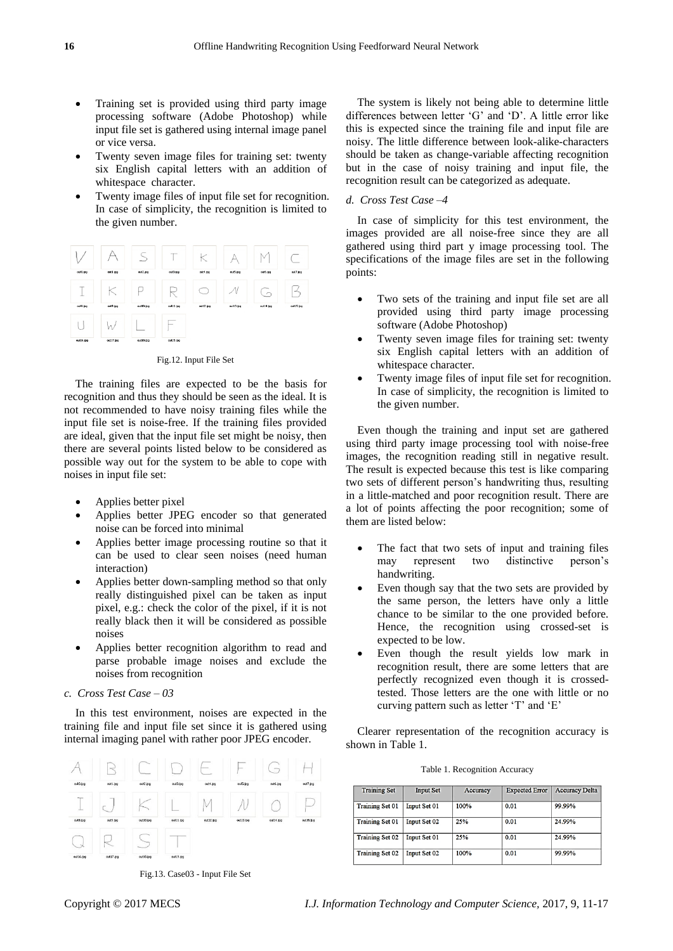- Training set is provided using third party image processing software (Adobe Photoshop) while input file set is gathered using internal image panel or vice versa.
- Twenty seven image files for training set: twenty six English capital letters with an addition of whitespace character.
- Twenty image files of input file set for recognition. In case of simplicity, the recognition is limited to the given number.



Fig.12. Input File Set

The training files are expected to be the basis for recognition and thus they should be seen as the ideal. It is not recommended to have noisy training files while the input file set is noise-free. If the training files provided are ideal, given that the input file set might be noisy, then there are several points listed below to be considered as possible way out for the system to be able to cope with noises in input file set:

- Applies better pixel
- Applies better JPEG encoder so that generated noise can be forced into minimal
- Applies better image processing routine so that it can be used to clear seen noises (need human interaction)
- Applies better down-sampling method so that only really distinguished pixel can be taken as input pixel, e.g.: check the color of the pixel, if it is not really black then it will be considered as possible noises
- Applies better recognition algorithm to read and parse probable image noises and exclude the noises from recognition

## *c. Cross Test Case – 03*

In this test environment, noises are expected in the training file and input file set since it is gathered using internal imaging panel with rather poor JPEG encoder.

|               | <b>ACCORD</b> |           | 93        |          | -<br>in and | $\overline{\phantom{a}}$ |           |
|---------------|---------------|-----------|-----------|----------|-------------|--------------------------|-----------|
| out0.pg       | cut1.jpg      | oA2.py    | out3.jpg  | out4.pg  | out5.pg     | cut6.jpg                 | out7.pg   |
| Figure 1<br>- |               |           |           | Ņ        |             |                          |           |
| $0.18$ .pg    | out9.jpg      | out10.jpg | out11.jpg | out12.pg | out13.jpg   | outl4.pg                 | out15.jpg |
| $\sim$        |               | $\sim$    |           |          |             |                          |           |
| out16.trg     | out17.py2     | out10.jpg | out19.py  |          |             |                          |           |

Fig.13. Case03 - Input File Set

The system is likely not being able to determine little differences between letter "G" and "D". A little error like this is expected since the training file and input file are noisy. The little difference between look-alike-characters should be taken as change-variable affecting recognition but in the case of noisy training and input file, the recognition result can be categorized as adequate.

## *d. Cross Test Case –4*

In case of simplicity for this test environment, the images provided are all noise-free since they are all gathered using third part y image processing tool. The specifications of the image files are set in the following points:

- Two sets of the training and input file set are all provided using third party image processing software (Adobe Photoshop)
- Twenty seven image files for training set: twenty six English capital letters with an addition of whitespace character.
- Twenty image files of input file set for recognition. In case of simplicity, the recognition is limited to the given number.

Even though the training and input set are gathered using third party image processing tool with noise-free images, the recognition reading still in negative result. The result is expected because this test is like comparing two sets of different person"s handwriting thus, resulting in a little-matched and poor recognition result. There are a lot of points affecting the poor recognition; some of them are listed below:

- The fact that two sets of input and training files may represent two distinctive person"s handwriting.
- Even though say that the two sets are provided by the same person, the letters have only a little chance to be similar to the one provided before. Hence, the recognition using crossed-set is expected to be low.
- Even though the result yields low mark in recognition result, there are some letters that are perfectly recognized even though it is crossedtested. Those letters are the one with little or no curving pattern such as letter 'T' and 'E'

Clearer representation of the recognition accuracy is shown in Table 1.

| Table 1. Recognition Accuracy |  |  |  |  |
|-------------------------------|--|--|--|--|
|-------------------------------|--|--|--|--|

| <b>Training Set</b>    | <b>Input Set</b>    | <b>Accuracy</b> | <b>Expected Error</b> | <b>Accuracy Delta</b> |
|------------------------|---------------------|-----------------|-----------------------|-----------------------|
| <b>Training Set 01</b> | <b>Input Set 01</b> | 100%            | 0.01                  | 99.99%                |
| <b>Training Set 01</b> | Input Set 02        | 25%             | 0.01                  | 24.99%                |
| <b>Training Set 02</b> | Input Set 01        | 25%             | 0.01                  | 24.99%                |
| <b>Training Set 02</b> | Input Set 02        | 100%            | 0.01                  | 99.99%                |